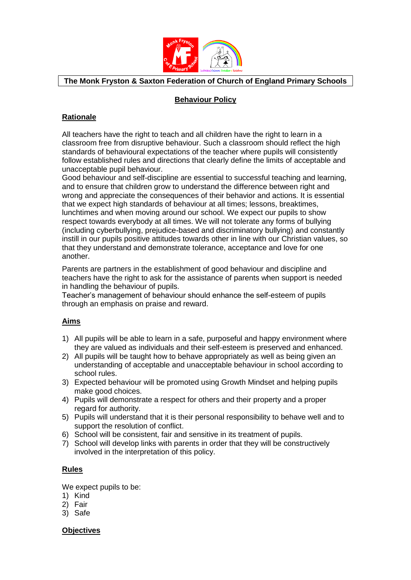

# **The Monk Fryston & Saxton Federation of Church of England Primary Schools**

## **Behaviour Policy**

# **Rationale**

All teachers have the right to teach and all children have the right to learn in a classroom free from disruptive behaviour. Such a classroom should reflect the high standards of behavioural expectations of the teacher where pupils will consistently follow established rules and directions that clearly define the limits of acceptable and unacceptable pupil behaviour.

Good behaviour and self-discipline are essential to successful teaching and learning, and to ensure that children grow to understand the difference between right and wrong and appreciate the consequences of their behavior and actions. It is essential that we expect high standards of behaviour at all times; lessons, breaktimes, lunchtimes and when moving around our school. We expect our pupils to show respect towards everybody at all times. We will not tolerate any forms of bullying (including cyberbullying, prejudice-based and discriminatory bullying) and constantly instill in our pupils positive attitudes towards other in line with our Christian values, so that they understand and demonstrate tolerance, acceptance and love for one another.

Parents are partners in the establishment of good behaviour and discipline and teachers have the right to ask for the assistance of parents when support is needed in handling the behaviour of pupils.

Teacher's management of behaviour should enhance the self-esteem of pupils through an emphasis on praise and reward.

# **Aims**

- 1) All pupils will be able to learn in a safe, purposeful and happy environment where they are valued as individuals and their self-esteem is preserved and enhanced.
- 2) All pupils will be taught how to behave appropriately as well as being given an understanding of acceptable and unacceptable behaviour in school according to school rules.
- 3) Expected behaviour will be promoted using Growth Mindset and helping pupils make good choices.
- 4) Pupils will demonstrate a respect for others and their property and a proper regard for authority.
- 5) Pupils will understand that it is their personal responsibility to behave well and to support the resolution of conflict.
- 6) School will be consistent, fair and sensitive in its treatment of pupils.
- 7) School will develop links with parents in order that they will be constructively involved in the interpretation of this policy.

### **Rules**

We expect pupils to be:

- 1) Kind
- 2) Fair
- 3) Safe

**Objectives**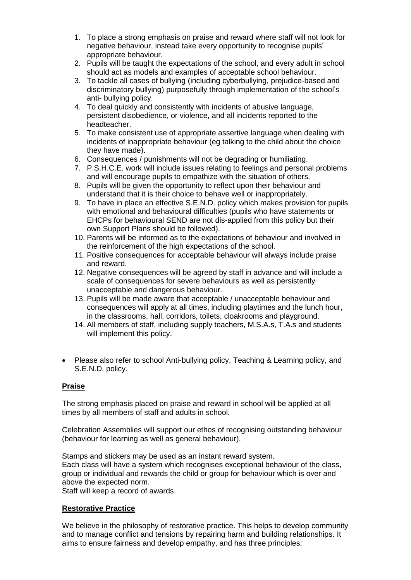- 1. To place a strong emphasis on praise and reward where staff will not look for negative behaviour, instead take every opportunity to recognise pupils' appropriate behaviour.
- 2. Pupils will be taught the expectations of the school, and every adult in school should act as models and examples of acceptable school behaviour.
- 3. To tackle all cases of bullying (including cyberbullying, prejudice-based and discriminatory bullying) purposefully through implementation of the school's anti- bullying policy.
- 4. To deal quickly and consistently with incidents of abusive language, persistent disobedience, or violence, and all incidents reported to the headteacher.
- 5. To make consistent use of appropriate assertive language when dealing with incidents of inappropriate behaviour (eg talking to the child about the choice they have made).
- 6. Consequences / punishments will not be degrading or humiliating.
- 7. P.S.H.C.E. work will include issues relating to feelings and personal problems and will encourage pupils to empathize with the situation of others.
- 8. Pupils will be given the opportunity to reflect upon their behaviour and understand that it is their choice to behave well or inappropriately.
- 9. To have in place an effective S.E.N.D. policy which makes provision for pupils with emotional and behavioural difficulties (pupils who have statements or EHCPs for behavioural SEND are not dis-applied from this policy but their own Support Plans should be followed).
- 10. Parents will be informed as to the expectations of behaviour and involved in the reinforcement of the high expectations of the school.
- 11. Positive consequences for acceptable behaviour will always include praise and reward.
- 12. Negative consequences will be agreed by staff in advance and will include a scale of consequences for severe behaviours as well as persistently unacceptable and dangerous behaviour.
- 13. Pupils will be made aware that acceptable / unacceptable behaviour and consequences will apply at all times, including playtimes and the lunch hour, in the classrooms, hall, corridors, toilets, cloakrooms and playground.
- 14. All members of staff, including supply teachers, M.S.A.s, T.A.s and students will implement this policy.
- Please also refer to school Anti-bullying policy, Teaching & Learning policy, and S.E.N.D. policy.

# **Praise**

The strong emphasis placed on praise and reward in school will be applied at all times by all members of staff and adults in school.

Celebration Assemblies will support our ethos of recognising outstanding behaviour (behaviour for learning as well as general behaviour).

Stamps and stickers may be used as an instant reward system. Each class will have a system which recognises exceptional behaviour of the class, group or individual and rewards the child or group for behaviour which is over and above the expected norm.

Staff will keep a record of awards.

### **Restorative Practice**

We believe in the philosophy of restorative practice. This helps to develop community and to manage conflict and tensions by repairing harm and building relationships. It aims to ensure fairness and develop empathy, and has three principles: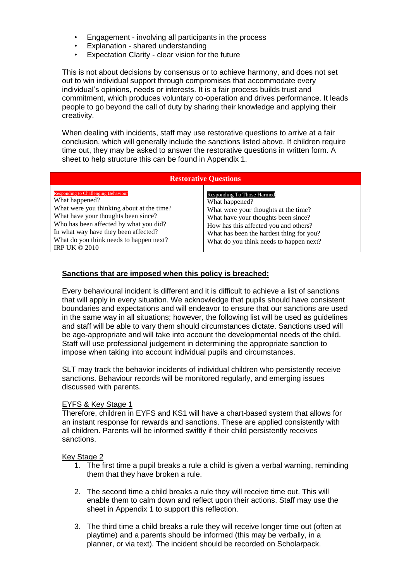- Engagement involving all participants in the process
- Explanation shared understanding
- Expectation Clarity clear vision for the future

This is not about decisions by consensus or to achieve harmony, and does not set out to win individual support through compromises that accommodate every individual's opinions, needs or interests. It is a fair process builds trust and commitment, which produces voluntary co-operation and drives performance. It leads people to go beyond the call of duty by sharing their knowledge and applying their creativity.

When dealing with incidents, staff may use restorative questions to arrive at a fair conclusion, which will generally include the sanctions listed above. If children require time out, they may be asked to answer the restorative questions in written form. A sheet to help structure this can be found in Appendix 1.

| <b>Restorative Questions</b>                                                                                                                                                                                                                                                                         |                                                                                                                                                                                                                                                              |
|------------------------------------------------------------------------------------------------------------------------------------------------------------------------------------------------------------------------------------------------------------------------------------------------------|--------------------------------------------------------------------------------------------------------------------------------------------------------------------------------------------------------------------------------------------------------------|
| <b>Responding to Challenging Behaviour</b><br>What happened?<br>What were you thinking about at the time?<br>What have your thoughts been since?<br>Who has been affected by what you did?<br>In what way have they been affected?<br>What do you think needs to happen next?<br>IRP UK $\odot$ 2010 | Responding To Those Harmed:<br>What happened?<br>What were your thoughts at the time?<br>What have your thoughts been since?<br>How has this affected you and others?<br>What has been the hardest thing for you?<br>What do you think needs to happen next? |

## **Sanctions that are imposed when this policy is breached:**

Every behavioural incident is different and it is difficult to achieve a list of sanctions that will apply in every situation. We acknowledge that pupils should have consistent boundaries and expectations and will endeavor to ensure that our sanctions are used in the same way in all situations; however, the following list will be used as guidelines and staff will be able to vary them should circumstances dictate. Sanctions used will be age-appropriate and will take into account the developmental needs of the child. Staff will use professional judgement in determining the appropriate sanction to impose when taking into account individual pupils and circumstances.

SLT may track the behavior incidents of individual children who persistently receive sanctions. Behaviour records will be monitored regularly, and emerging issues discussed with parents.

#### EYFS & Key Stage 1

Therefore, children in EYFS and KS1 will have a chart-based system that allows for an instant response for rewards and sanctions. These are applied consistently with all children. Parents will be informed swiftly if their child persistently receives sanctions.

#### Key Stage 2

- 1. The first time a pupil breaks a rule a child is given a verbal warning, reminding them that they have broken a rule.
- 2. The second time a child breaks a rule they will receive time out. This will enable them to calm down and reflect upon their actions. Staff may use the sheet in Appendix 1 to support this reflection.
- 3. The third time a child breaks a rule they will receive longer time out (often at playtime) and a parents should be informed (this may be verbally, in a planner, or via text). The incident should be recorded on Scholarpack.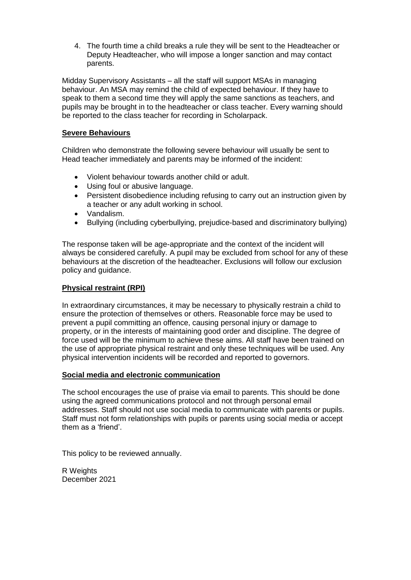4. The fourth time a child breaks a rule they will be sent to the Headteacher or Deputy Headteacher, who will impose a longer sanction and may contact parents.

Midday Supervisory Assistants – all the staff will support MSAs in managing behaviour. An MSA may remind the child of expected behaviour. If they have to speak to them a second time they will apply the same sanctions as teachers, and pupils may be brought in to the headteacher or class teacher. Every warning should be reported to the class teacher for recording in Scholarpack.

## **Severe Behaviours**

Children who demonstrate the following severe behaviour will usually be sent to Head teacher immediately and parents may be informed of the incident:

- Violent behaviour towards another child or adult.
- Using foul or abusive language.
- Persistent disobedience including refusing to carry out an instruction given by a teacher or any adult working in school.
- Vandalism.
- Bullying (including cyberbullying, prejudice-based and discriminatory bullying)

The response taken will be age-appropriate and the context of the incident will always be considered carefully. A pupil may be excluded from school for any of these behaviours at the discretion of the headteacher. Exclusions will follow our exclusion policy and guidance.

## **Physical restraint (RPI)**

In extraordinary circumstances, it may be necessary to physically restrain a child to ensure the protection of themselves or others. Reasonable force may be used to prevent a pupil committing an offence, causing personal injury or damage to property, or in the interests of maintaining good order and discipline. The degree of force used will be the minimum to achieve these aims. All staff have been trained on the use of appropriate physical restraint and only these techniques will be used. Any physical intervention incidents will be recorded and reported to governors.

### **Social media and electronic communication**

The school encourages the use of praise via email to parents. This should be done using the agreed communications protocol and not through personal email addresses. Staff should not use social media to communicate with parents or pupils. Staff must not form relationships with pupils or parents using social media or accept them as a 'friend'.

This policy to be reviewed annually.

R Weights December 2021